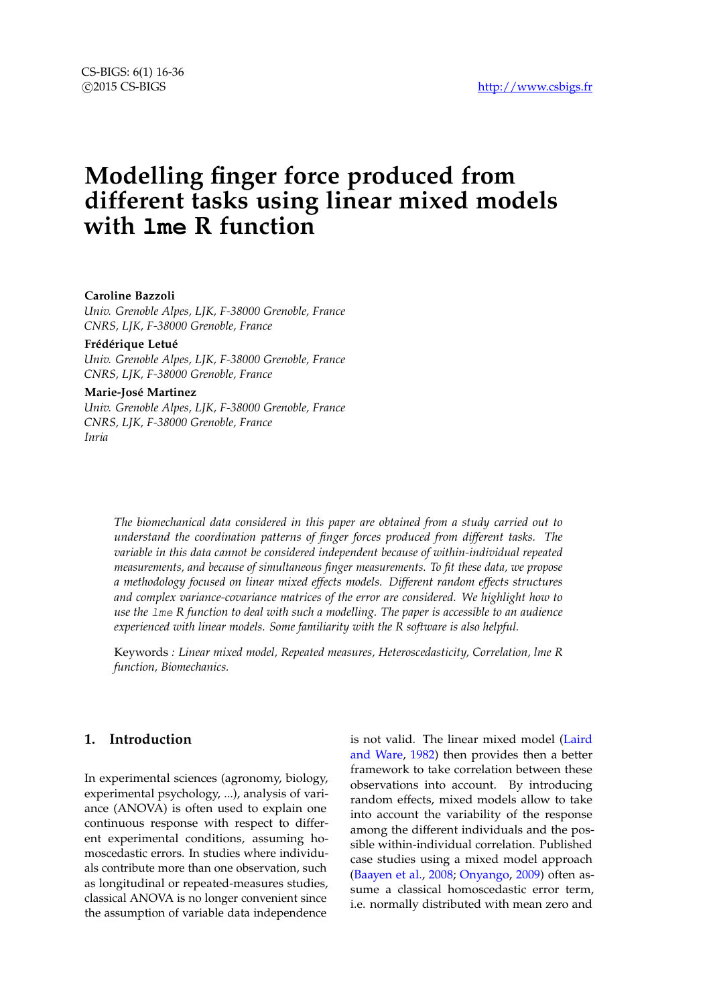# **Modelling finger force produced from different tasks using linear mixed models with lme R function**

## **Caroline Bazzoli**

*Univ. Grenoble Alpes, LJK, F-38000 Grenoble, France CNRS, LJK, F-38000 Grenoble, France*

#### **Frédérique Letué**

*Univ. Grenoble Alpes, LJK, F-38000 Grenoble, France CNRS, LJK, F-38000 Grenoble, France*

## **Marie-José Martinez**

*Univ. Grenoble Alpes, LJK, F-38000 Grenoble, France CNRS, LJK, F-38000 Grenoble, France Inria*

> *The biomechanical data considered in this paper are obtained from a study carried out to understand the coordination patterns of finger forces produced from different tasks. The variable in this data cannot be considered independent because of within-individual repeated measurements, and because of simultaneous finger measurements. To fit these data, we propose a methodology focused on linear mixed effects models. Different random effects structures and complex variance-covariance matrices of the error are considered. We highlight how to use the* lme *R function to deal with such a modelling. The paper is accessible to an audience experienced with linear models. Some familiarity with the R software is also helpful.*

> Keywords *: Linear mixed model, Repeated measures, Heteroscedasticity, Correlation, lme R function, Biomechanics.*

# **1. Introduction**

In experimental sciences (agronomy, biology, experimental psychology, ...), analysis of variance (ANOVA) is often used to explain one continuous response with respect to different experimental conditions, assuming homoscedastic errors. In studies where individuals contribute more than one observation, such as longitudinal or repeated-measures studies, classical ANOVA is no longer convenient since the assumption of variable data independence

is not valid. The linear mixed model [\(Laird](#page-15-0) [and Ware,](#page-15-0) [1982\)](#page-15-0) then provides then a better framework to take correlation between these observations into account. By introducing random effects, mixed models allow to take into account the variability of the response among the different individuals and the possible within-individual correlation. Published case studies using a mixed model approach [\(Baayen et al.,](#page-15-1) [2008;](#page-15-1) [Onyango,](#page-15-2) [2009\)](#page-15-2) often assume a classical homoscedastic error term, i.e. normally distributed with mean zero and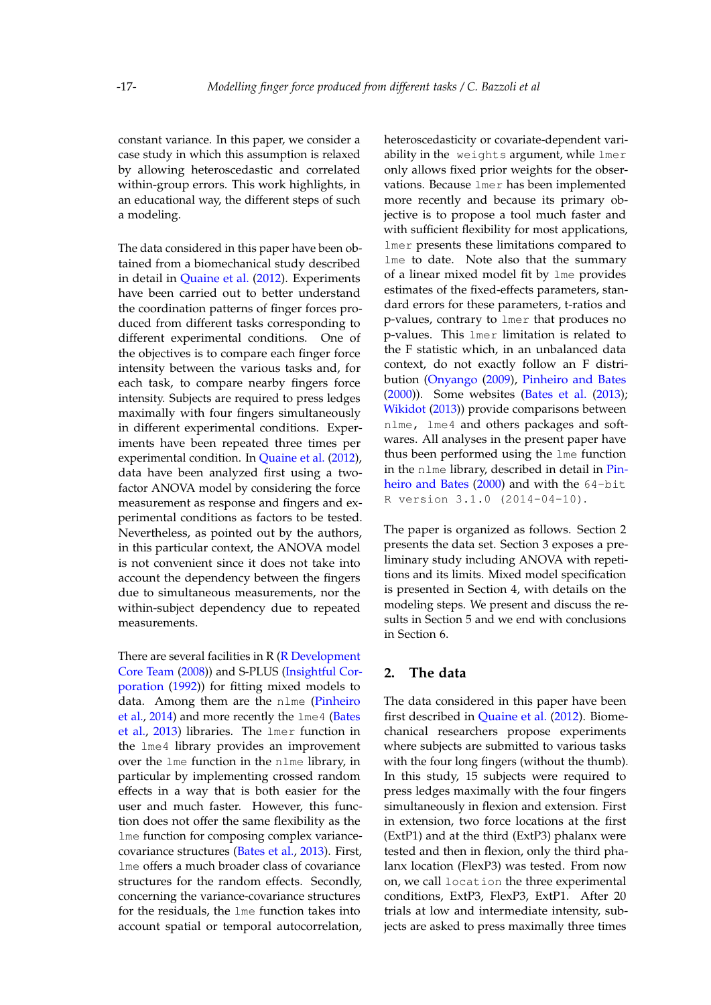constant variance. In this paper, we consider a case study in which this assumption is relaxed by allowing heteroscedastic and correlated within-group errors. This work highlights, in an educational way, the different steps of such a modeling.

The data considered in this paper have been obtained from a biomechanical study described in detail in [Quaine et al.](#page-15-3) [\(2012\)](#page-15-3). Experiments have been carried out to better understand the coordination patterns of finger forces produced from different tasks corresponding to different experimental conditions. One of the objectives is to compare each finger force intensity between the various tasks and, for each task, to compare nearby fingers force intensity. Subjects are required to press ledges maximally with four fingers simultaneously in different experimental conditions. Experiments have been repeated three times per experimental condition. In [Quaine et al.](#page-15-3) [\(2012\)](#page-15-3), data have been analyzed first using a twofactor ANOVA model by considering the force measurement as response and fingers and experimental conditions as factors to be tested. Nevertheless, as pointed out by the authors, in this particular context, the ANOVA model is not convenient since it does not take into account the dependency between the fingers due to simultaneous measurements, nor the within-subject dependency due to repeated measurements.

There are several facilities in  $R$  ( $R$  Development [Core Team](#page-15-4) [\(2008\)](#page-15-4)) and S-PLUS [\(Insightful Cor](#page-15-5)[poration](#page-15-5) [\(1992\)](#page-15-5)) for fitting mixed models to data. Among them are the nlme [\(Pinheiro](#page-15-6) [et al.,](#page-15-6) [2014\)](#page-15-6) and more recently the lme4 [\(Bates](#page-15-7) [et al.,](#page-15-7) [2013\)](#page-15-7) libraries. The lmer function in the lme4 library provides an improvement over the lme function in the nlme library, in particular by implementing crossed random effects in a way that is both easier for the user and much faster. However, this function does not offer the same flexibility as the lme function for composing complex variancecovariance structures [\(Bates et al.,](#page-15-7) [2013\)](#page-15-7). First, lme offers a much broader class of covariance structures for the random effects. Secondly, concerning the variance-covariance structures for the residuals, the lme function takes into account spatial or temporal autocorrelation, heteroscedasticity or covariate-dependent variability in the weights argument, while lmer only allows fixed prior weights for the observations. Because lmer has been implemented more recently and because its primary objective is to propose a tool much faster and with sufficient flexibility for most applications, lmer presents these limitations compared to lme to date. Note also that the summary of a linear mixed model fit by lme provides estimates of the fixed-effects parameters, standard errors for these parameters, t-ratios and p-values, contrary to lmer that produces no p-values. This lmer limitation is related to the F statistic which, in an unbalanced data context, do not exactly follow an F distribution [\(Onyango](#page-15-2) [\(2009\)](#page-15-2), [Pinheiro and Bates](#page-15-8) [\(2000\)](#page-15-8)). Some websites [\(Bates et al.](#page-15-7) [\(2013\)](#page-15-7); [Wikidot](#page-15-9) [\(2013\)](#page-15-9)) provide comparisons between nlme, lme4 and others packages and softwares. All analyses in the present paper have thus been performed using the lme function in the nlme library, described in detail in [Pin](#page-15-8)[heiro and Bates](#page-15-8) [\(2000\)](#page-15-8) and with the 64-bit R version 3.1.0 (2014-04-10).

The paper is organized as follows. Section 2 presents the data set. Section 3 exposes a preliminary study including ANOVA with repetitions and its limits. Mixed model specification is presented in Section 4, with details on the modeling steps. We present and discuss the results in Section 5 and we end with conclusions in Section 6.

# **2. The data**

The data considered in this paper have been first described in [Quaine et al.](#page-15-3) [\(2012\)](#page-15-3). Biomechanical researchers propose experiments where subjects are submitted to various tasks with the four long fingers (without the thumb). In this study, 15 subjects were required to press ledges maximally with the four fingers simultaneously in flexion and extension. First in extension, two force locations at the first (ExtP1) and at the third (ExtP3) phalanx were tested and then in flexion, only the third phalanx location (FlexP3) was tested. From now on, we call location the three experimental conditions, ExtP3, FlexP3, ExtP1. After 20 trials at low and intermediate intensity, subjects are asked to press maximally three times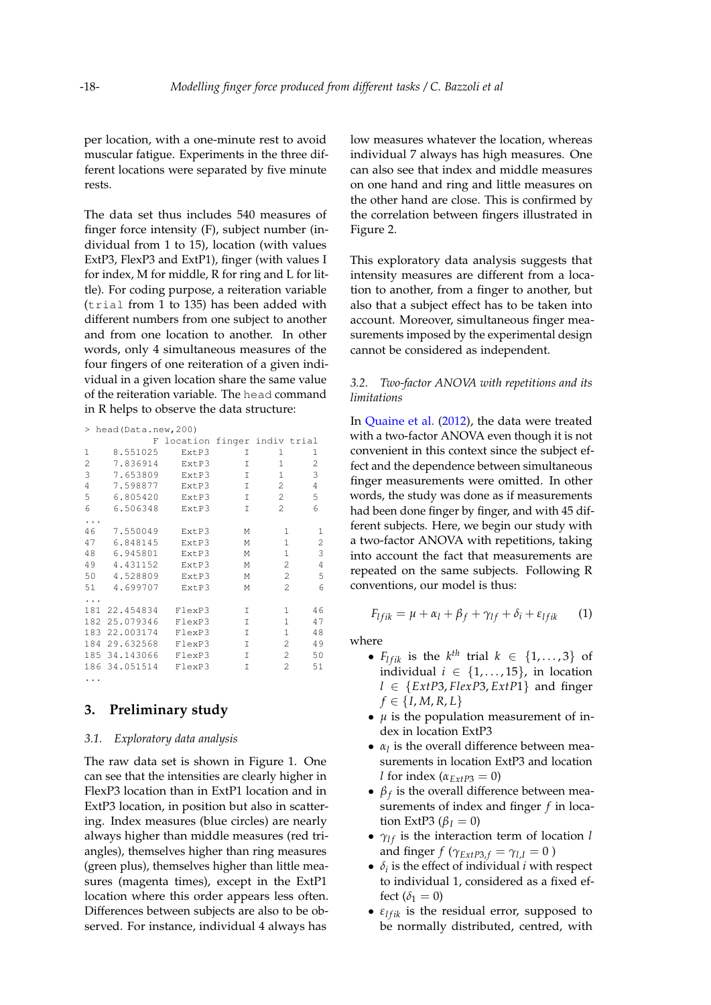per location, with a one-minute rest to avoid muscular fatigue. Experiments in the three different locations were separated by five minute rests.

The data set thus includes 540 measures of finger force intensity (F), subject number (individual from 1 to 15), location (with values ExtP3, FlexP3 and ExtP1), finger (with values I for index, M for middle, R for ring and L for little). For coding purpose, a reiteration variable (trial from 1 to 135) has been added with different numbers from one subject to another and from one location to another. In other words, only 4 simultaneous measures of the four fingers of one reiteration of a given individual in a given location share the same value of the reiteration variable. The head command in R helps to observe the data structure:

|     | > head (Data.new, 200) |                             |   |                |                |  |  |
|-----|------------------------|-----------------------------|---|----------------|----------------|--|--|
|     | F                      | location finger indiv trial |   |                |                |  |  |
| 1   | 8.551025               | ExtP3                       | Τ | 1              | 1              |  |  |
| 2   | 7.836914               | ExtP3                       | I | $\mathbf{1}$   | $\overline{c}$ |  |  |
| 3   | 7.653809               | ExtP3                       | I | $\mathbf{1}$   | 3              |  |  |
| 4   | 7.598877               | ExtP3                       | I | $\overline{c}$ | 4              |  |  |
| 5   | 6.805420               | ExtP3                       | T | $\overline{2}$ | 5              |  |  |
| 6   | 6.506348               | ExtP3                       | Τ | $\overline{2}$ | 6              |  |  |
| .   |                        |                             |   |                |                |  |  |
| 46  | 7.550049               | ExtP3                       | М | 1              | 1              |  |  |
| 47  | 6.848145               | ExtP3                       | М | 1              | 2              |  |  |
| 48  | 6.945801               | ExtP3                       | М | 1              | 3              |  |  |
| 49  | 4.431152               | ExtP3                       | М | 2              | 4              |  |  |
| 50  | 4.528809               | ExtP3                       | М | $\overline{c}$ | 5              |  |  |
| 51  | 4.699707               | ExtP3                       | М | $\mathcal{P}$  | 6              |  |  |
| .   |                        |                             |   |                |                |  |  |
| 181 | 22.454834              | FlexP3                      | I | 1.             | 46             |  |  |
|     | 182 25.079346          | FlexP3                      | I | 1              | 47             |  |  |
|     | 183 22.003174          | FlexP3                      | I | 1              | 48             |  |  |
|     | 184 29.632568          | FlexP3                      | I | 2              | 49             |  |  |
|     | 185 34.143066          | FlexP3                      | T | 2              | 50             |  |  |
|     | 186 34.051514          | FlexP3                      | Т | 2              | 51             |  |  |
| .   |                        |                             |   |                |                |  |  |

# **3. Preliminary study**

## *3.1. Exploratory data analysis*

The raw data set is shown in Figure [1.](#page-3-0) One can see that the intensities are clearly higher in FlexP3 location than in ExtP1 location and in ExtP3 location, in position but also in scattering. Index measures (blue circles) are nearly always higher than middle measures (red triangles), themselves higher than ring measures (green plus), themselves higher than little measures (magenta times), except in the ExtP1 location where this order appears less often. Differences between subjects are also to be observed. For instance, individual 4 always has

low measures whatever the location, whereas individual 7 always has high measures. One can also see that index and middle measures on one hand and ring and little measures on the other hand are close. This is confirmed by the correlation between fingers illustrated in Figure [2.](#page-4-0)

This exploratory data analysis suggests that intensity measures are different from a location to another, from a finger to another, but also that a subject effect has to be taken into account. Moreover, simultaneous finger measurements imposed by the experimental design cannot be considered as independent.

## *3.2. Two-factor ANOVA with repetitions and its limitations*

In [Quaine et al.](#page-15-3) [\(2012\)](#page-15-3), the data were treated with a two-factor ANOVA even though it is not convenient in this context since the subject effect and the dependence between simultaneous finger measurements were omitted. In other words, the study was done as if measurements had been done finger by finger, and with 45 different subjects. Here, we begin our study with a two-factor ANOVA with repetitions, taking into account the fact that measurements are repeated on the same subjects. Following R conventions, our model is thus:

<span id="page-2-0"></span>
$$
F_{l f i k} = \mu + \alpha_l + \beta_f + \gamma_{l f} + \delta_i + \varepsilon_{l f i k} \qquad (1)
$$

where

- $F_{lfik}$  is the  $k^{th}$  trial  $k \in \{1, \ldots, 3\}$  of individual  $i \in \{1, \ldots, 15\}$ , in location *l* ∈ {*ExtP*3, *FlexP*3, *ExtP*1} and finger  $f \in \{I, M, R, L\}$
- *µ* is the population measurement of index in location ExtP3
- $\alpha_l$  is the overall difference between measurements in location ExtP3 and location *l* for index  $(\alpha_{E \times P3} = 0)$
- $\beta_f$  is the overall difference between measurements of index and finger *f* in location ExtP3 ( $\beta_I = 0$ )
- $\gamma_{1f}$  is the interaction term of location *l* and finger *f* ( $\gamma_{ExtP3,f} = \gamma_{l,I} = 0$ )
- $\delta_i$  is the effect of individual *i* with respect to individual 1, considered as a fixed effect  $(\delta_1 = 0)$
- $\varepsilon_{l f i k}$  is the residual error, supposed to be normally distributed, centred, with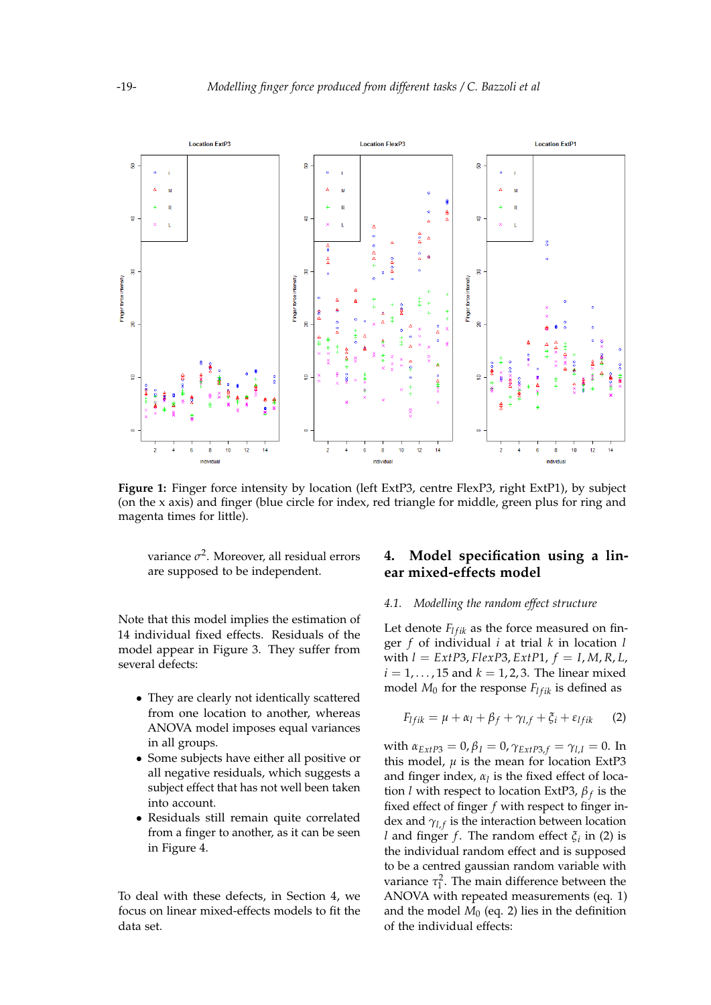<span id="page-3-0"></span>

Figure 1: Finger force intensity by location (left ExtP3, centre FlexP3, right ExtP1), by subject (on the x axis) and finger (blue circle for index, red triangle for middle, green plus for ring and magenta times for little).

variance *σ* 2 . Moreover, all residual errors are supposed to be independent.

Note that this model implies the estimation of 14 individual fixed effects. Residuals of the model appear in Figure [3.](#page-5-0) They suffer from several defects:

- They are clearly not identically scattered from one location to another, whereas ANOVA model imposes equal variances in all groups.
- Some subjects have either all positive or all negative residuals, which suggests a subject effect that has not well been taken into account.
- Residuals still remain quite correlated from a finger to another, as it can be seen in Figure [4.](#page-6-0)

To deal with these defects, in Section 4, we focus on linear mixed-effects models to fit the data set.

# **4. Model specification using a linear mixed-effects model**

# <span id="page-3-2"></span>*4.1. Modelling the random effect structure*

Let denote  $F_{I f i k}$  as the force measured on finger *f* of individual *i* at trial *k* in location *l* with  $l = \text{Ext}P3$ ,  $\text{Flex}P3$ ,  $\text{Ext}P1$ ,  $f = I, M, R, L$ ,  $i = 1, \ldots, 15$  and  $k = 1, 2, 3$ . The linear mixed model  $M_0$  for the response  $F_{lfik}$  is defined as

<span id="page-3-1"></span>
$$
F_{lfik} = \mu + \alpha_l + \beta_f + \gamma_{l,f} + \xi_i + \varepsilon_{lfik} \qquad (2)
$$

*with*  $α_{ExtP3} = 0, β<sub>I</sub> = 0, γ<sub>ExtP3,f</sub> = γ<sub>l,I</sub> = 0$ . In this model,  $\mu$  is the mean for location ExtP3 and finger index,  $\alpha_l$  is the fixed effect of location *l* with respect to location ExtP3, *β <sup>f</sup>* is the fixed effect of finger *f* with respect to finger index and  $\gamma_{l,f}$  is the interaction between location *l* and finger *f*. The random effect  $\xi$ <sup>*i*</sup> in [\(2\)](#page-3-1) is the individual random effect and is supposed to be a centred gaussian random variable with variance  $\tau_1^2$ . The main difference between the ANOVA with repeated measurements (eq. [1\)](#page-2-0) and the model  $M_0$  (eq. [2\)](#page-3-1) lies in the definition of the individual effects: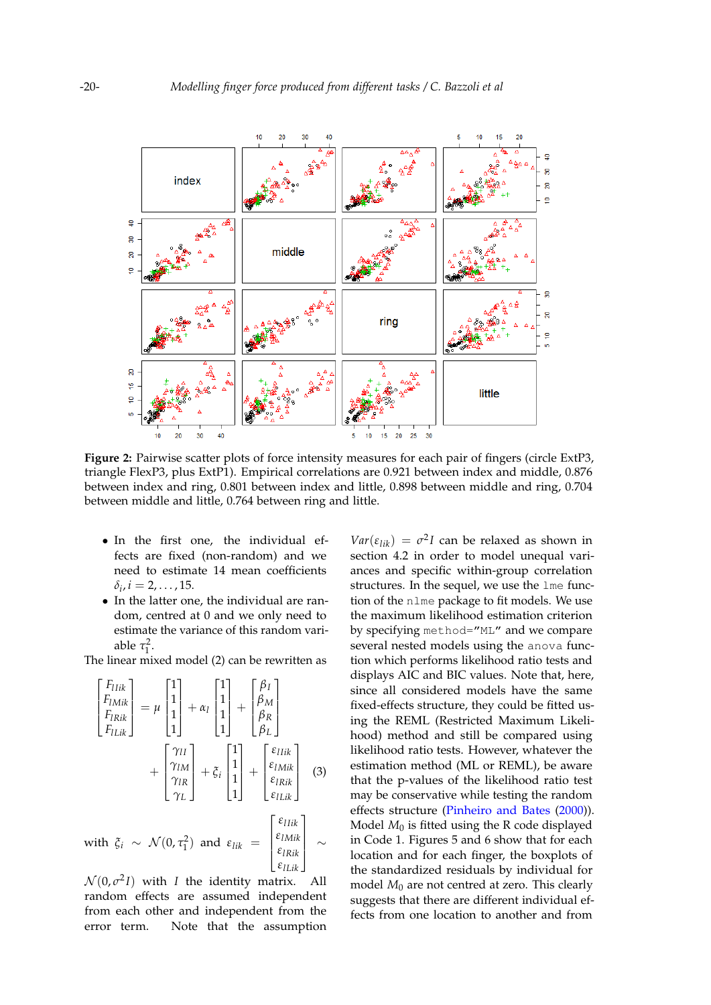<span id="page-4-0"></span>

**Figure 2:** Pairwise scatter plots of force intensity measures for each pair of fingers (circle ExtP3, triangle FlexP3, plus ExtP1). Empirical correlations are 0.921 between index and middle, 0.876 between index and ring, 0.801 between index and little, 0.898 between middle and ring, 0.704 between middle and little, 0.764 between ring and little.

- In the first one, the individual effects are fixed (non-random) and we need to estimate 14 mean coefficients  $\delta_i$ ,  $i = 2, \ldots, 15$ .
- In the latter one, the individual are random, centred at 0 and we only need to estimate the variance of this random variable  $\tau_1^2$ .

The linear mixed model [\(2\)](#page-3-1) can be rewritten as

$$
\begin{bmatrix}\nF_{IIik} \\
F_{IMik} \\
F_{IIxik}\n\end{bmatrix} = \mu \begin{bmatrix} 1 \\ 1 \\ 1 \\ 1 \end{bmatrix} + \alpha_l \begin{bmatrix} 1 \\ 1 \\ 1 \\ 1 \end{bmatrix} + \begin{bmatrix} \beta_I \\ \beta_M \\ \beta_R \\ \beta_L \end{bmatrix} + \begin{bmatrix} \gamma_{II} \\ \gamma_{IM} \\ \gamma_{IR} \\ \gamma_L \end{bmatrix} + \xi_i \begin{bmatrix} 1 \\ 1 \\ 1 \\ 1 \end{bmatrix} + \begin{bmatrix} \varepsilon_{IIik} \\ \varepsilon_{INik} \\ \varepsilon_{IIxik} \\ \varepsilon_{IIx} \\ \varepsilon_{IIx} \end{bmatrix}
$$
\n(3)

with 
$$
\xi_i \sim \mathcal{N}(0, \tau_1^2)
$$
 and  $\varepsilon_{lik} = \begin{bmatrix} \varepsilon_{lMik} \\ \varepsilon_{lRik} \\ \varepsilon_{lLik} \end{bmatrix} \sim$ 

 $\mathcal{N}(0, \sigma^2 I)$  with *I* the identity matrix. All random effects are assumed independent from each other and independent from the error term. Note that the assumption

 $Var(\varepsilon_{lik}) = \sigma^2 I$  can be relaxed as shown in section [4.2](#page-6-1) in order to model unequal variances and specific within-group correlation structures. In the sequel, we use the lme function of the nlme package to fit models. We use the maximum likelihood estimation criterion by specifying method="ML" and we compare several nested models using the anova function which performs likelihood ratio tests and displays AIC and BIC values. Note that, here, since all considered models have the same fixed-effects structure, they could be fitted using the REML (Restricted Maximum Likelihood) method and still be compared using likelihood ratio tests. However, whatever the estimation method (ML or REML), be aware that the p-values of the likelihood ratio test may be conservative while testing the random effects structure [\(Pinheiro and Bates](#page-15-8) [\(2000\)](#page-15-8)). Model *M*<sup>0</sup> is fitted using the R code displayed in Code [1.](#page-16-0) Figures [5](#page-7-0) and [6](#page-7-1) show that for each location and for each finger, the boxplots of the standardized residuals by individual for model *M*<sup>0</sup> are not centred at zero. This clearly suggests that there are different individual effects from one location to another and from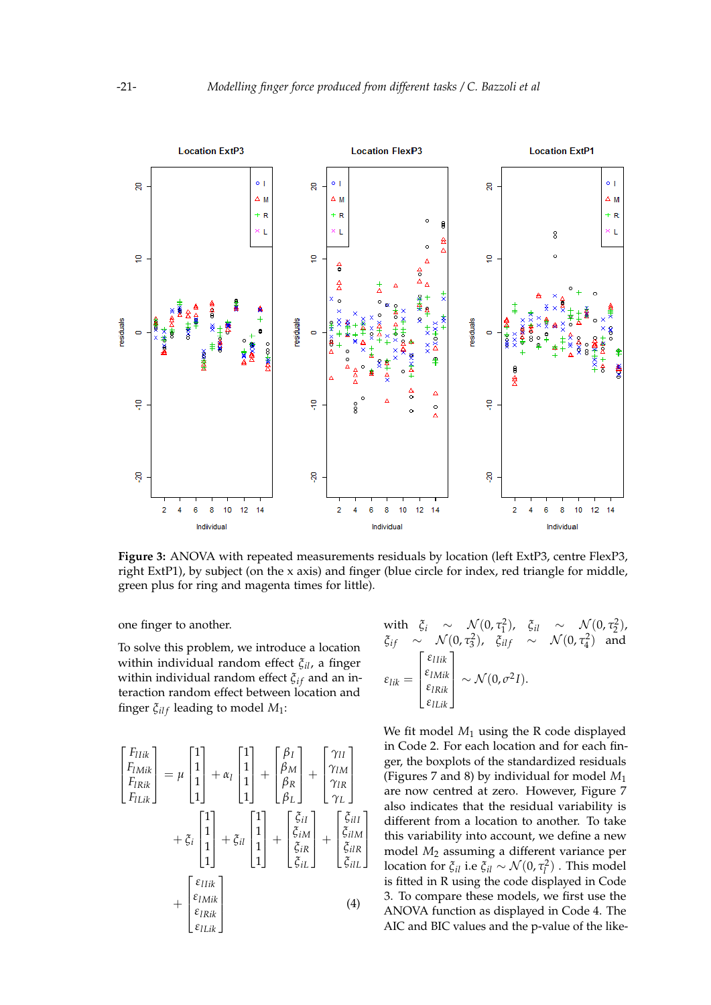<span id="page-5-0"></span>

**Figure 3:** ANOVA with repeated measurements residuals by location (left ExtP3, centre FlexP3, right ExtP1), by subject (on the x axis) and finger (blue circle for index, red triangle for middle, green plus for ring and magenta times for little).

one finger to another.

To solve this problem, we introduce a location within individual random effect *ξil*, a finger within individual random effect  $\zeta$ <sub>*if*</sub> and an interaction random effect between location and finger  $\xi_{ilf}$  leading to model  $M_1$ :

$$
\begin{bmatrix}\nF_{IIik} \\
F_{IMik} \\
F_{ILik}\n\end{bmatrix} = \mu \begin{bmatrix} 1 \\ 1 \\ 1 \\ 1 \end{bmatrix} + \alpha_l \begin{bmatrix} 1 \\ 1 \\ 1 \\ 1 \end{bmatrix} + \begin{bmatrix} \beta_I \\ \beta_M \\ \beta_R \\ \beta_L \end{bmatrix} + \begin{bmatrix} \gamma_{II} \\ \gamma_{IM} \\ \gamma_{IL} \\ \gamma_L \end{bmatrix} + \xi_i \begin{bmatrix} 1 \\ 1 \\ 1 \\ 1 \end{bmatrix} + \xi_{il} \begin{bmatrix} 1 \\ 1 \\ 1 \\ 1 \end{bmatrix} + \xi_{il} \begin{bmatrix} 1 \\ 1 \\ 1 \\ 1 \end{bmatrix} + \begin{bmatrix} \xi_{iI} \\ \xi_{iM} \\ \xi_{iR} \\ \xi_{iL} \end{bmatrix} + \begin{bmatrix} \xi_{iII} \\ \xi_{iM} \\ \xi_{iIL} \end{bmatrix}
$$
\n
$$
+ \begin{bmatrix} \varepsilon_{IIik} \\ \varepsilon_{INik} \\ \varepsilon_{ILik} \\ \varepsilon_{ILk} \end{bmatrix}
$$
\n(4)

with 
$$
\xi_i \sim \mathcal{N}(0, \tau_1^2)
$$
,  $\xi_{il} \sim \mathcal{N}(0, \tau_2^2)$ ,  
\n $\xi_{if} \sim \mathcal{N}(0, \tau_3^2)$ ,  $\xi_{ilf} \sim \mathcal{N}(0, \tau_4^2)$  and  
\n
$$
\varepsilon_{lik} = \begin{bmatrix} \varepsilon_{IIik} \\ \varepsilon_{IINik} \\ \varepsilon_{Ilik} \\ \varepsilon_{ILIK} \end{bmatrix} \sim \mathcal{N}(0, \sigma^2 I).
$$

We fit model *M*<sup>1</sup> using the R code displayed in Code [2.](#page-16-1) For each location and for each finger, the boxplots of the standardized residuals (Figures [7](#page-8-0) and [8\)](#page-8-1) by individual for model *M*<sup>1</sup> are now centred at zero. However, Figure [7](#page-8-0) also indicates that the residual variability is different from a location to another. To take this variability into account, we define a new model *M*<sup>2</sup> assuming a different variance per location for  $\xi_{il}$  i.e  $\xi_{il} \sim \mathcal{N}(0, \tau_l^2)$  . This model is fitted in R using the code displayed in Code [3.](#page-16-2) To compare these models, we first use the ANOVA function as displayed in Code [4.](#page-16-3) The AIC and BIC values and the p-value of the like-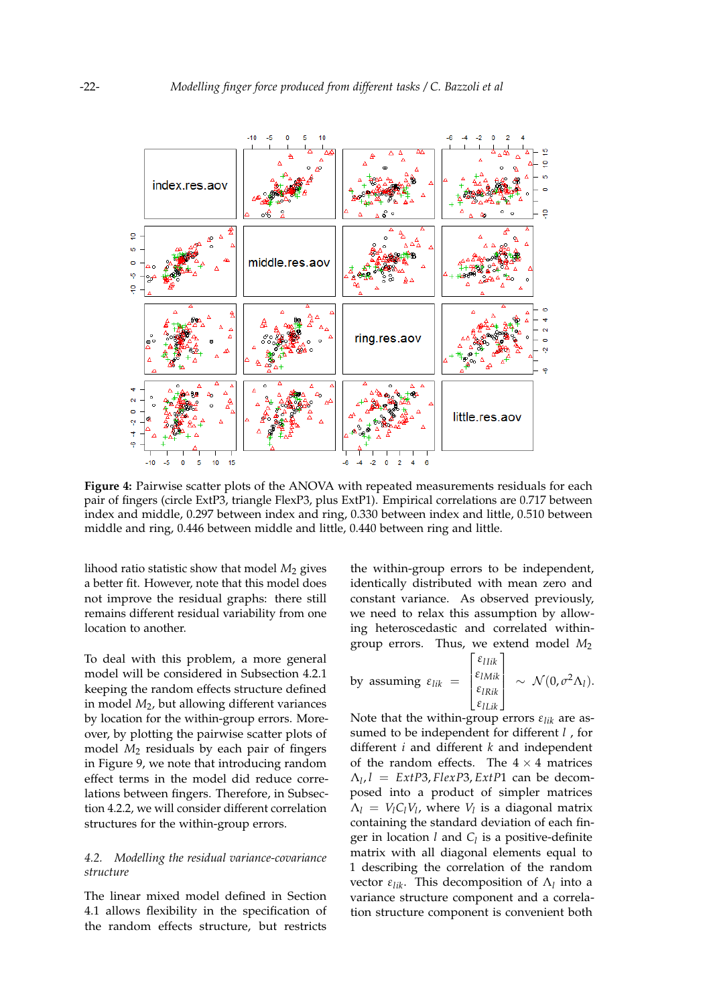<span id="page-6-0"></span>

**Figure 4:** Pairwise scatter plots of the ANOVA with repeated measurements residuals for each pair of fingers (circle ExtP3, triangle FlexP3, plus ExtP1). Empirical correlations are 0.717 between index and middle, 0.297 between index and ring, 0.330 between index and little, 0.510 between middle and ring, 0.446 between middle and little, 0.440 between ring and little.

lihood ratio statistic show that model *M*<sup>2</sup> gives a better fit. However, note that this model does not improve the residual graphs: there still remains different residual variability from one location to another.

To deal with this problem, a more general model will be considered in Subsection [4.2.1](#page-9-0) keeping the random effects structure defined in model *M*2, but allowing different variances by location for the within-group errors. Moreover, by plotting the pairwise scatter plots of model *M*<sup>2</sup> residuals by each pair of fingers in Figure [9,](#page-9-1) we note that introducing random effect terms in the model did reduce correlations between fingers. Therefore, in Subsection [4.2.2,](#page-11-0) we will consider different correlation structures for the within-group errors.

## <span id="page-6-1"></span>*4.2. Modelling the residual variance-covariance structure*

The linear mixed model defined in Section [4.1](#page-3-2) allows flexibility in the specification of the random effects structure, but restricts

the within-group errors to be independent, identically distributed with mean zero and constant variance. As observed previously, we need to relax this assumption by allowing heteroscedastic and correlated withingroup errors. Thus, we extend model *M*<sup>2</sup>

by assuming 
$$
\varepsilon_{lik} = \begin{bmatrix} \varepsilon_{IIik} \\ \varepsilon_{IMik} \\ \varepsilon_{ILik} \\ \varepsilon_{ILik} \end{bmatrix} \sim \mathcal{N}(0, \sigma^2 \Lambda_l).
$$

Note that the within-group errors *εlik* are assumed to be independent for different *l* , for different *i* and different *k* and independent of the random effects. The  $4 \times 4$  matrices  $\Lambda_l$ ,  $l = \text{Ext}P3$ ,  $\text{Flex}P3$ ,  $\text{Ext}P1$  can be decomposed into a product of simpler matrices  $\Lambda_l = V_l C_l V_l$ , where  $V_l$  is a diagonal matrix containing the standard deviation of each finger in location *l* and *C<sup>l</sup>* is a positive-definite matrix with all diagonal elements equal to 1 describing the correlation of the random vector *εlik*. This decomposition of Λ*<sup>l</sup>* into a variance structure component and a correlation structure component is convenient both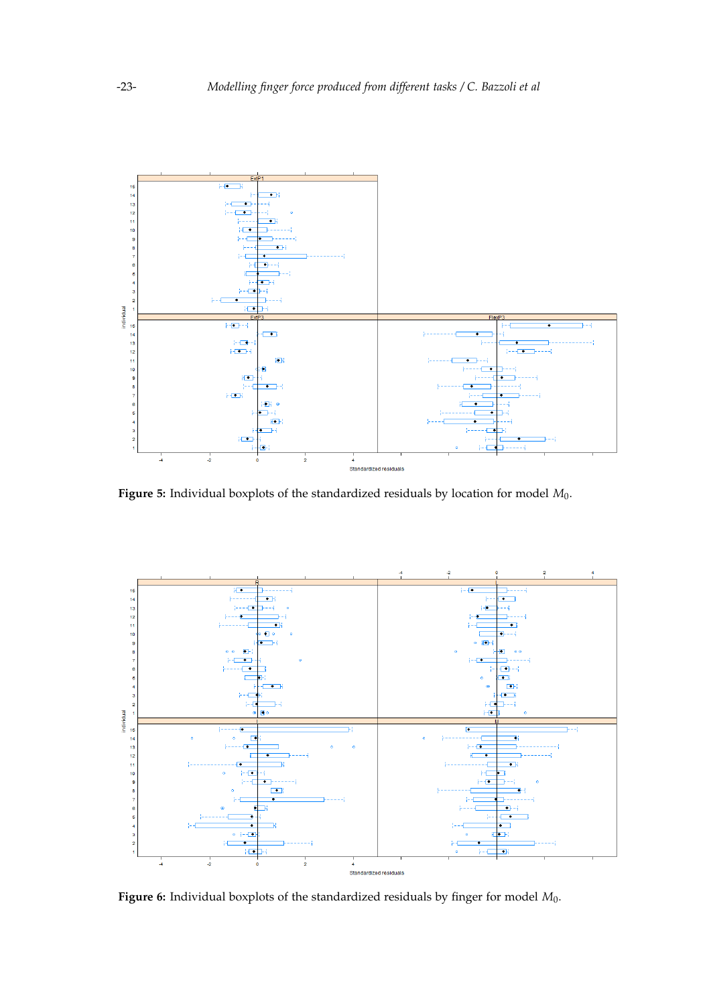<span id="page-7-0"></span>

**Figure 5:** Individual boxplots of the standardized residuals by location for model *M*0.

<span id="page-7-1"></span>

**Figure 6:** Individual boxplots of the standardized residuals by finger for model *M*0.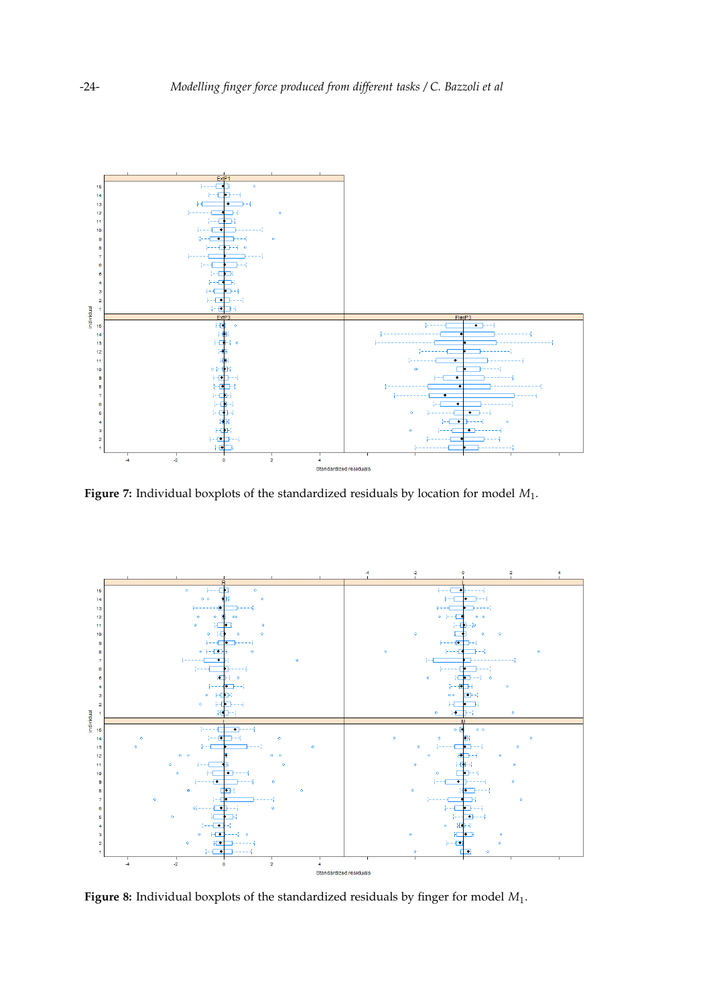<span id="page-8-0"></span>

**Figure 7:** Individual boxplots of the standardized residuals by location for model *M*1.

<span id="page-8-1"></span>

**Figure 8:** Individual boxplots of the standardized residuals by finger for model *M*1.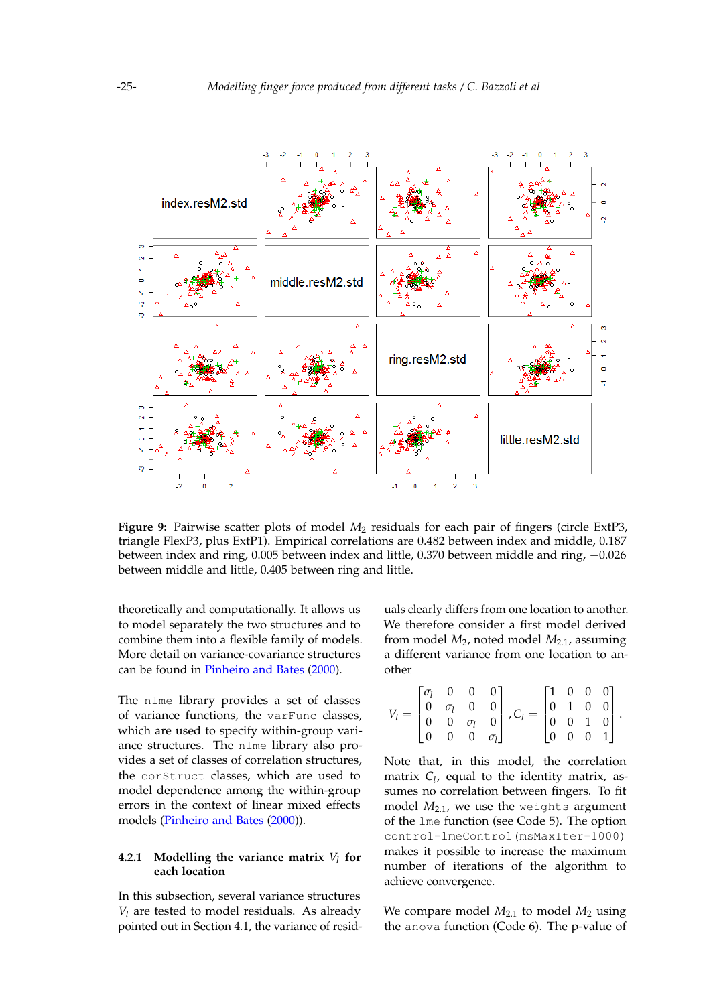<span id="page-9-1"></span>

**Figure 9:** Pairwise scatter plots of model *M*<sup>2</sup> residuals for each pair of fingers (circle ExtP3, triangle FlexP3, plus ExtP1). Empirical correlations are 0.482 between index and middle, 0.187 between index and ring, 0.005 between index and little, 0.370 between middle and ring, −0.026 between middle and little, 0.405 between ring and little.

theoretically and computationally. It allows us to model separately the two structures and to combine them into a flexible family of models. More detail on variance-covariance structures can be found in [Pinheiro and Bates](#page-15-8) [\(2000\)](#page-15-8).

The nlme library provides a set of classes of variance functions, the varFunc classes, which are used to specify within-group variance structures. The nlme library also provides a set of classes of correlation structures, the corStruct classes, which are used to model dependence among the within-group errors in the context of linear mixed effects models [\(Pinheiro and Bates](#page-15-8) [\(2000\)](#page-15-8)).

## <span id="page-9-0"></span>**4.2.1 Modelling the variance matrix** *V<sup>l</sup>* **for each location**

In this subsection, several variance structures *V<sup>l</sup>* are tested to model residuals. As already pointed out in Section [4.1,](#page-3-2) the variance of residuals clearly differs from one location to another. We therefore consider a first model derived from model *M*2, noted model *M*2.1, assuming a different variance from one location to another

$$
V_l = \begin{bmatrix} \sigma_l & 0 & 0 & 0 \\ 0 & \sigma_l & 0 & 0 \\ 0 & 0 & \sigma_l & 0 \\ 0 & 0 & 0 & \sigma_l \end{bmatrix}, C_l = \begin{bmatrix} 1 & 0 & 0 & 0 \\ 0 & 1 & 0 & 0 \\ 0 & 0 & 1 & 0 \\ 0 & 0 & 0 & 1 \end{bmatrix}.
$$

Note that, in this model, the correlation matrix *C<sup>l</sup>* , equal to the identity matrix, assumes no correlation between fingers. To fit model *M*2.1, we use the weights argument of the lme function (see Code [5\)](#page-16-4). The option control=lmeControl(msMaxIter=1000) makes it possible to increase the maximum number of iterations of the algorithm to achieve convergence.

We compare model  $M_{2.1}$  to model  $M_2$  using the anova function (Code [6\)](#page-16-5). The p-value of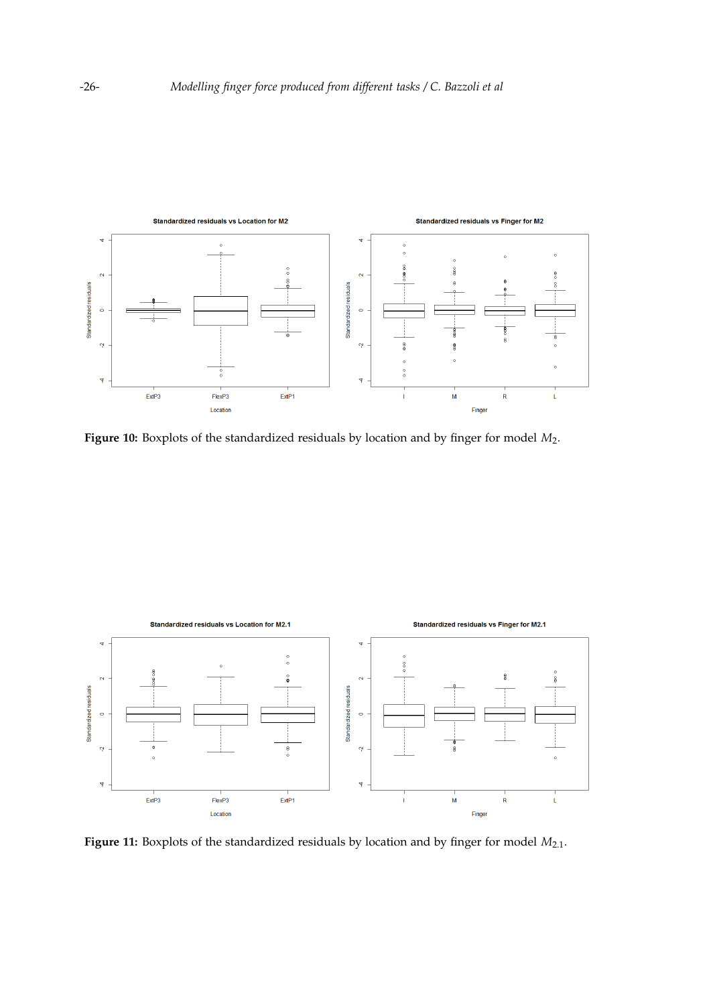<span id="page-10-0"></span>

**Figure 10:** Boxplots of the standardized residuals by location and by finger for model *M*2.

<span id="page-10-1"></span>

Figure 11: Boxplots of the standardized residuals by location and by finger for model  $M_{2.1}$ .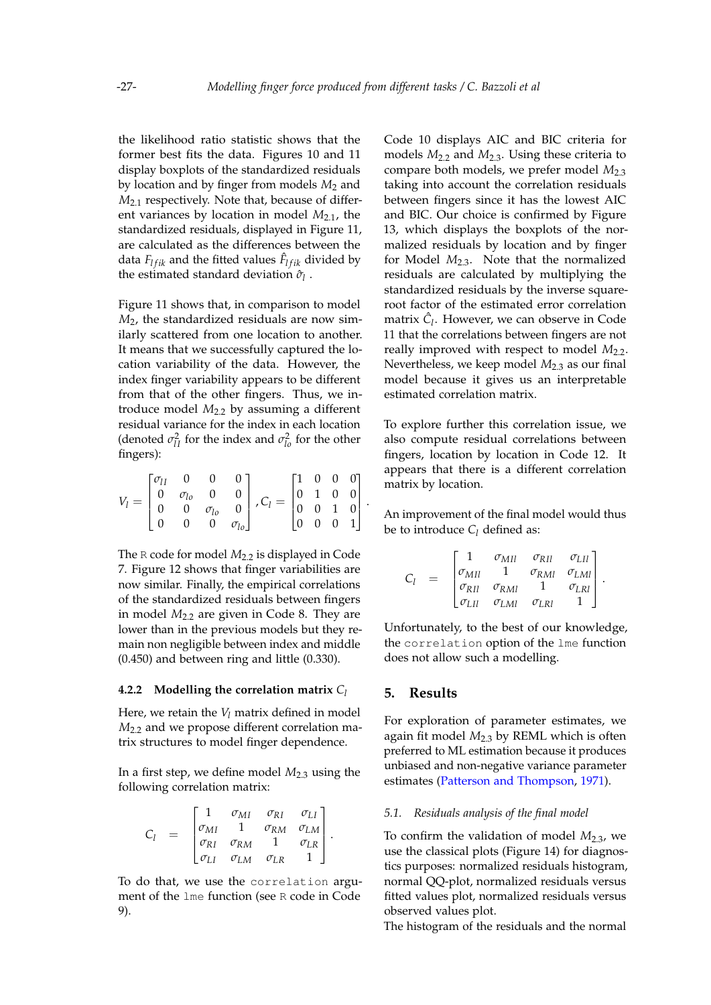.

the likelihood ratio statistic shows that the former best fits the data. Figures [10](#page-10-0) and [11](#page-10-1) display boxplots of the standardized residuals by location and by finger from models *M*<sup>2</sup> and *M*2.1 respectively. Note that, because of different variances by location in model  $M_{2.1}$ , the standardized residuals, displayed in Figure [11,](#page-10-1) are calculated as the differences between the data  $F_{lfik}$  and the fitted values  $\hat{F}_{lfik}$  divided by the estimated standard deviation  $\hat{\sigma}_{l}$ .

Figure [11](#page-10-1) shows that, in comparison to model *M*2, the standardized residuals are now similarly scattered from one location to another. It means that we successfully captured the location variability of the data. However, the index finger variability appears to be different from that of the other fingers. Thus, we introduce model *M*2.2 by assuming a different residual variance for the index in each location (denoted  $\sigma_{II}^2$  for the index and  $\sigma_{I_0}^2$  for the other fingers):

$$
V_l = \begin{bmatrix} \sigma_{lI} & 0 & 0 & 0 \\ 0 & \sigma_{lo} & 0 & 0 \\ 0 & 0 & \sigma_{lo} & 0 \\ 0 & 0 & 0 & \sigma_{lo} \end{bmatrix}, C_l = \begin{bmatrix} 1 & 0 & 0 & 0 \\ 0 & 1 & 0 & 0 \\ 0 & 0 & 1 & 0 \\ 0 & 0 & 0 & 1 \end{bmatrix}
$$

The R code for model  $M_{2,2}$  is displayed in Code [7.](#page-16-6) Figure [12](#page-12-0) shows that finger variabilities are now similar. Finally, the empirical correlations of the standardized residuals between fingers in model  $M<sub>2.2</sub>$  are given in Code [8.](#page-17-0) They are lower than in the previous models but they remain non negligible between index and middle (0.450) and between ring and little (0.330).

#### <span id="page-11-0"></span>**4.2.2 Modelling the correlation matrix** *C<sup>l</sup>*

Here, we retain the *V<sup>l</sup>* matrix defined in model  $M<sub>2.2</sub>$  and we propose different correlation matrix structures to model finger dependence.

In a first step, we define model  $M_{2,3}$  using the following correlation matrix:

$$
C_l = \begin{bmatrix} 1 & \sigma_{MI} & \sigma_{RI} & \sigma_{LI} \\ \sigma_{MI} & 1 & \sigma_{RM} & \sigma_{LM} \\ \sigma_{RI} & \sigma_{RM} & 1 & \sigma_{LR} \\ \sigma_{LI} & \sigma_{LM} & \sigma_{LR} & 1 \end{bmatrix}.
$$

To do that, we use the correlation argument of the lme function (see R code in Code [9\)](#page-17-1).

Code [10](#page-17-2) displays AIC and BIC criteria for models *M*2.2 and *M*2.3. Using these criteria to compare both models, we prefer model *M*2.3 taking into account the correlation residuals between fingers since it has the lowest AIC and BIC. Our choice is confirmed by Figure [13,](#page-12-1) which displays the boxplots of the normalized residuals by location and by finger for Model *M*2.3. Note that the normalized residuals are calculated by multiplying the standardized residuals by the inverse squareroot factor of the estimated error correlation matrix  $\hat{C}_l$ . However, we can observe in Code [11](#page-17-3) that the correlations between fingers are not really improved with respect to model  $M_{2.2}$ . Nevertheless, we keep model  $M_{2,3}$  as our final model because it gives us an interpretable estimated correlation matrix.

To explore further this correlation issue, we also compute residual correlations between fingers, location by location in Code [12.](#page-17-4) It appears that there is a different correlation matrix by location.

An improvement of the final model would thus be to introduce  $C_l$  defined as:

$$
C_{l} = \begin{bmatrix} 1 & \sigma_{MII} & \sigma_{RII} & \sigma_{LII} \\ \sigma_{MII} & 1 & \sigma_{RMI} & \sigma_{LMI} \\ \sigma_{RII} & \sigma_{RMI} & 1 & \sigma_{LRI} \\ \sigma_{LII} & \sigma_{LMI} & \sigma_{LRI} & 1 \end{bmatrix}.
$$

Unfortunately, to the best of our knowledge, the correlation option of the lme function does not allow such a modelling.

## **5. Results**

For exploration of parameter estimates, we again fit model  $M<sub>2,3</sub>$  by REML which is often preferred to ML estimation because it produces unbiased and non-negative variance parameter estimates [\(Patterson and Thompson,](#page-15-10) [1971\)](#page-15-10).

## *5.1. Residuals analysis of the final model*

To confirm the validation of model *M*2.3, we use the classical plots (Figure [14\)](#page-14-0) for diagnostics purposes: normalized residuals histogram, normal QQ-plot, normalized residuals versus fitted values plot, normalized residuals versus observed values plot.

The histogram of the residuals and the normal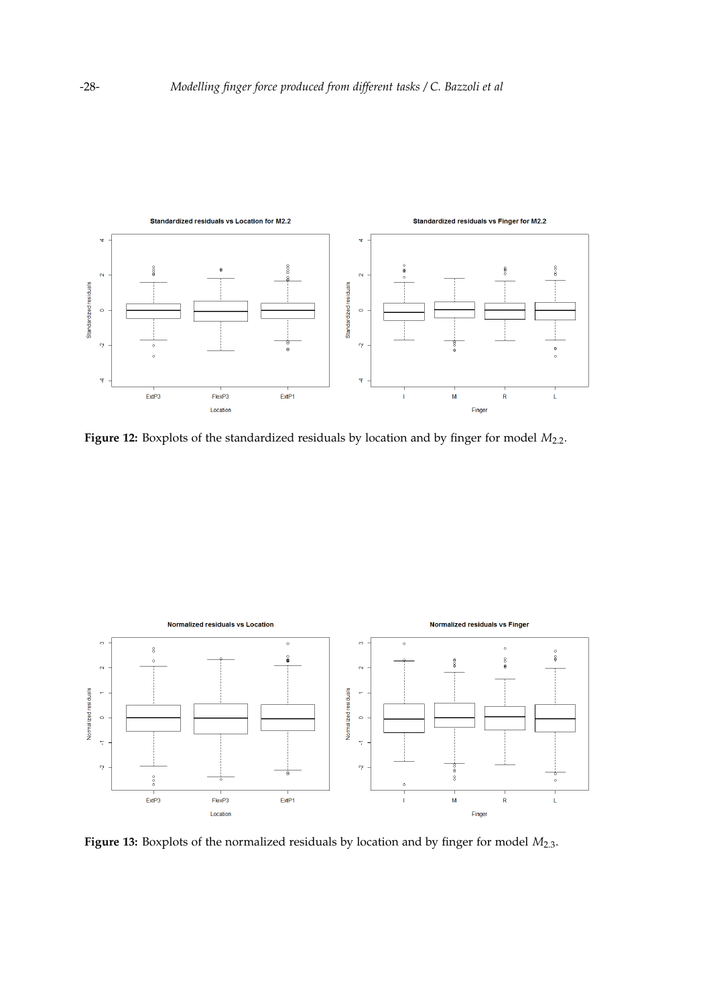<span id="page-12-0"></span>

Figure 12: Boxplots of the standardized residuals by location and by finger for model  $M_{2.2}$ .

<span id="page-12-1"></span>

Figure 13: Boxplots of the normalized residuals by location and by finger for model  $M_{2,3}$ .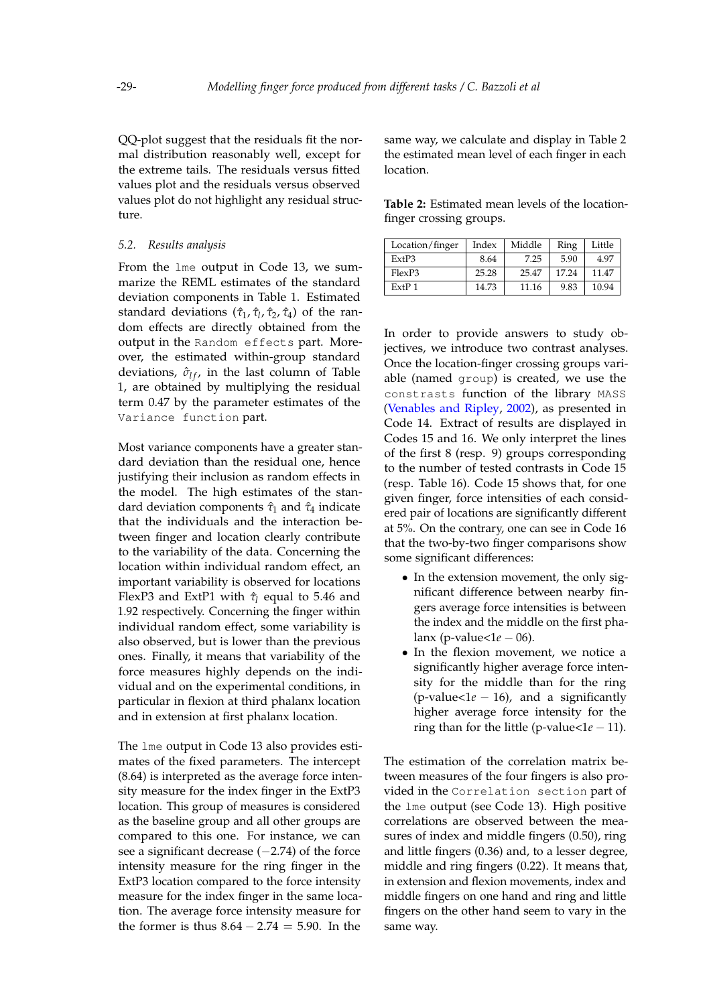QQ-plot suggest that the residuals fit the normal distribution reasonably well, except for the extreme tails. The residuals versus fitted values plot and the residuals versus observed values plot do not highlight any residual structure.

#### *5.2. Results analysis*

From the lme output in Code [13,](#page-18-0) we summarize the REML estimates of the standard deviation components in Table [1.](#page-15-11) Estimated standard deviations ( $\hat{\tau}_1$ ,  $\hat{\tau}_1$ ,  $\hat{\tau}_2$ ,  $\hat{\tau}_4$ ) of the random effects are directly obtained from the output in the Random effects part. Moreover, the estimated within-group standard deviations,  $\hat{\sigma}_{If}$ , in the last column of Table [1,](#page-15-11) are obtained by multiplying the residual term 0.47 by the parameter estimates of the Variance function part.

Most variance components have a greater standard deviation than the residual one, hence justifying their inclusion as random effects in the model. The high estimates of the standard deviation components  $\hat{\tau}_1$  and  $\hat{\tau}_4$  indicate that the individuals and the interaction between finger and location clearly contribute to the variability of the data. Concerning the location within individual random effect, an important variability is observed for locations FlexP3 and ExtP1 with  $τ$ <sup>*l*</sup> equal to 5.46 and 1.92 respectively. Concerning the finger within individual random effect, some variability is also observed, but is lower than the previous ones. Finally, it means that variability of the force measures highly depends on the individual and on the experimental conditions, in particular in flexion at third phalanx location and in extension at first phalanx location.

The lme output in Code [13](#page-18-0) also provides estimates of the fixed parameters. The intercept (8.64) is interpreted as the average force intensity measure for the index finger in the ExtP3 location. This group of measures is considered as the baseline group and all other groups are compared to this one. For instance, we can see a significant decrease (-2.74) of the force intensity measure for the ring finger in the ExtP3 location compared to the force intensity measure for the index finger in the same location. The average force intensity measure for the former is thus  $8.64 - 2.74 = 5.90$ . In the

same way, we calculate and display in Table [2](#page-13-0) the estimated mean level of each finger in each location.

<span id="page-13-0"></span>**Table 2:** Estimated mean levels of the locationfinger crossing groups.

| Location/finger   | Index | Middle | Ring  | Little |
|-------------------|-------|--------|-------|--------|
| ExtP3             | 8.64  | 7.25   | 5.90  | 4.97   |
| FlexP3            | 25.28 | 25.47  | 17.24 | 11.47  |
| ExtP <sub>1</sub> | 14.73 | 11.16  | 9.83  | 10.94  |

In order to provide answers to study objectives, we introduce two contrast analyses. Once the location-finger crossing groups variable (named group) is created, we use the constrasts function of the library MASS [\(Venables and Ripley,](#page-15-12) [2002\)](#page-15-12), as presented in Code [14.](#page-19-0) Extract of results are displayed in Codes [15](#page-20-0) and [16.](#page-20-1) We only interpret the lines of the first 8 (resp. 9) groups corresponding to the number of tested contrasts in Code [15](#page-20-0) (resp. Table [16\)](#page-20-1). Code [15](#page-20-0) shows that, for one given finger, force intensities of each considered pair of locations are significantly different at 5%. On the contrary, one can see in Code [16](#page-20-1) that the two-by-two finger comparisons show some significant differences:

- In the extension movement, the only significant difference between nearby fingers average force intensities is between the index and the middle on the first phalanx (p-value<1*e* − 06).
- In the flexion movement, we notice a significantly higher average force intensity for the middle than for the ring (p-value<1*e* − 16), and a significantly higher average force intensity for the ring than for the little (p-value< $1e - 11$ ).

The estimation of the correlation matrix between measures of the four fingers is also provided in the Correlation section part of the lme output (see Code [13\)](#page-18-0). High positive correlations are observed between the measures of index and middle fingers (0.50), ring and little fingers (0.36) and, to a lesser degree, middle and ring fingers (0.22). It means that, in extension and flexion movements, index and middle fingers on one hand and ring and little fingers on the other hand seem to vary in the same way.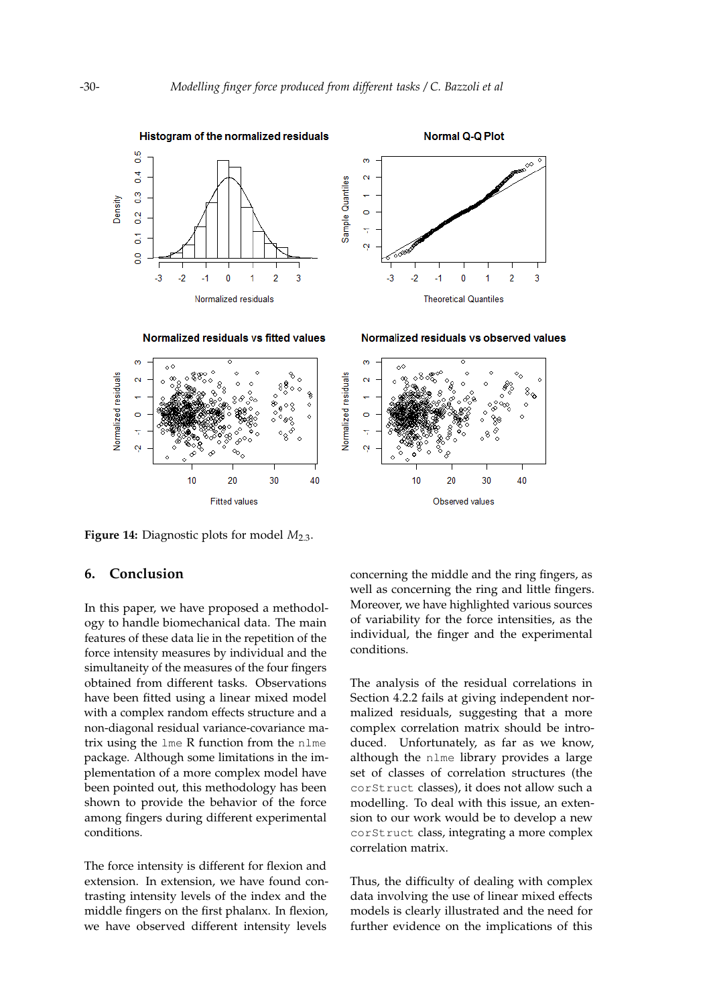<span id="page-14-0"></span>

**Figure 14:** Diagnostic plots for model  $M_{2,3}$ .

**Fitted values** 

# **6. Conclusion**

In this paper, we have proposed a methodology to handle biomechanical data. The main features of these data lie in the repetition of the force intensity measures by individual and the simultaneity of the measures of the four fingers obtained from different tasks. Observations have been fitted using a linear mixed model with a complex random effects structure and a non-diagonal residual variance-covariance matrix using the lme R function from the nlme package. Although some limitations in the implementation of a more complex model have been pointed out, this methodology has been shown to provide the behavior of the force among fingers during different experimental conditions.

The force intensity is different for flexion and extension. In extension, we have found contrasting intensity levels of the index and the middle fingers on the first phalanx. In flexion, we have observed different intensity levels

concerning the middle and the ring fingers, as well as concerning the ring and little fingers. Moreover, we have highlighted various sources of variability for the force intensities, as the individual, the finger and the experimental conditions.

Observed values

The analysis of the residual correlations in Section [4.2.2](#page-11-0) fails at giving independent normalized residuals, suggesting that a more complex correlation matrix should be introduced. Unfortunately, as far as we know, although the nlme library provides a large set of classes of correlation structures (the corStruct classes), it does not allow such a modelling. To deal with this issue, an extension to our work would be to develop a new corStruct class, integrating a more complex correlation matrix.

Thus, the difficulty of dealing with complex data involving the use of linear mixed effects models is clearly illustrated and the need for further evidence on the implications of this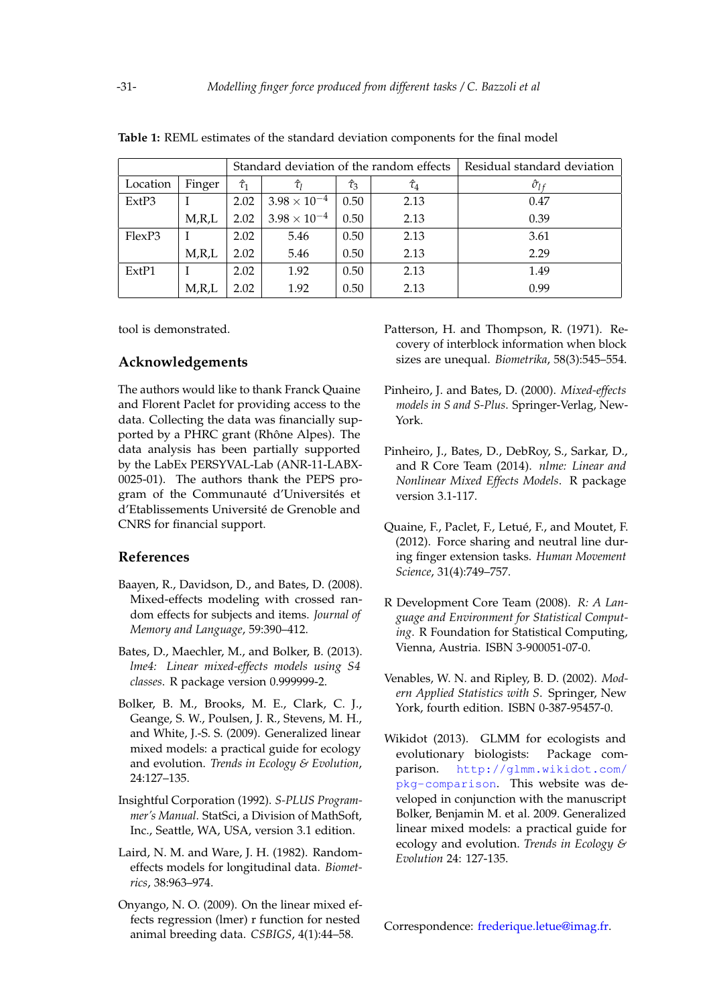|          |          | Standard deviation of the random effects |                       |                |                | Residual standard deviation |
|----------|----------|------------------------------------------|-----------------------|----------------|----------------|-----------------------------|
| Location | Finger   | $\hat{\tau}_1$                           | $\hat{\tau}_l$        | $\hat{\tau}_3$ | $\hat{\tau}_4$ | $\hat{\sigma}_{l}$          |
| ExtP3    |          | 2.02                                     | $3.98\times10^{-4}$   | 0.50           | 2.13           | 0.47                        |
|          | M, R, L  | 2.02                                     | $3.98 \times 10^{-4}$ | 0.50           | 2.13           | 0.39                        |
| FlexP3   |          | 2.02                                     | 5.46                  | 0.50           | 2.13           | 3.61                        |
|          | M, R, L  | 2.02                                     | 5.46                  | 0.50           | 2.13           | 2.29                        |
| ExtP1    |          | 2.02                                     | 1.92                  | 0.50           | 2.13           | 1.49                        |
|          | $M$ ,R,L | 2.02                                     | 1.92                  | 0.50           | 2.13           | 0.99                        |

<span id="page-15-11"></span>**Table 1:** REML estimates of the standard deviation components for the final model

tool is demonstrated.

# **Acknowledgements**

The authors would like to thank Franck Quaine and Florent Paclet for providing access to the data. Collecting the data was financially supported by a PHRC grant (Rhône Alpes). The data analysis has been partially supported by the LabEx PERSYVAL-Lab (ANR-11-LABX-0025-01). The authors thank the PEPS program of the Communauté d'Universités et d'Etablissements Université de Grenoble and CNRS for financial support.

# **References**

- <span id="page-15-1"></span>Baayen, R., Davidson, D., and Bates, D. (2008). Mixed-effects modeling with crossed random effects for subjects and items. *Journal of Memory and Language*, 59:390–412.
- <span id="page-15-7"></span>Bates, D., Maechler, M., and Bolker, B. (2013). *lme4: Linear mixed-effects models using S4 classes*. R package version 0.999999-2.
- Bolker, B. M., Brooks, M. E., Clark, C. J., Geange, S. W., Poulsen, J. R., Stevens, M. H., and White, J.-S. S. (2009). Generalized linear mixed models: a practical guide for ecology and evolution. *Trends in Ecology & Evolution*, 24:127–135.
- <span id="page-15-5"></span>Insightful Corporation (1992). *S-PLUS Programmer's Manual*. StatSci, a Division of MathSoft, Inc., Seattle, WA, USA, version 3.1 edition.
- <span id="page-15-0"></span>Laird, N. M. and Ware, J. H. (1982). Randomeffects models for longitudinal data. *Biometrics*, 38:963–974.
- <span id="page-15-2"></span>Onyango, N. O. (2009). On the linear mixed effects regression (lmer) r function for nested animal breeding data. *CSBIGS*, 4(1):44–58.
- <span id="page-15-10"></span>Patterson, H. and Thompson, R. (1971). Recovery of interblock information when block sizes are unequal. *Biometrika*, 58(3):545–554.
- <span id="page-15-8"></span>Pinheiro, J. and Bates, D. (2000). *Mixed-effects models in S and S-Plus*. Springer-Verlag, New-York.
- <span id="page-15-6"></span>Pinheiro, J., Bates, D., DebRoy, S., Sarkar, D., and R Core Team (2014). *nlme: Linear and Nonlinear Mixed Effects Models*. R package version 3.1-117.
- <span id="page-15-3"></span>Quaine, F., Paclet, F., Letué, F., and Moutet, F. (2012). Force sharing and neutral line during finger extension tasks. *Human Movement Science*, 31(4):749–757.
- <span id="page-15-4"></span>R Development Core Team (2008). *R: A Language and Environment for Statistical Computing*. R Foundation for Statistical Computing, Vienna, Austria. ISBN 3-900051-07-0.
- <span id="page-15-12"></span>Venables, W. N. and Ripley, B. D. (2002). *Modern Applied Statistics with S*. Springer, New York, fourth edition. ISBN 0-387-95457-0.
- <span id="page-15-9"></span>Wikidot (2013). GLMM for ecologists and evolutionary biologists: Package comparison. [http://glmm.wikidot.com/](http://glmm.wikidot.com/pkg-comparison) [pkg-comparison](http://glmm.wikidot.com/pkg-comparison). This website was developed in conjunction with the manuscript Bolker, Benjamin M. et al. 2009. Generalized linear mixed models: a practical guide for ecology and evolution. *Trends in Ecology & Evolution* 24: 127-135.

Correspondence: [frederique.letue@imag.fr.](mailto:frederique.letue@imag.fr)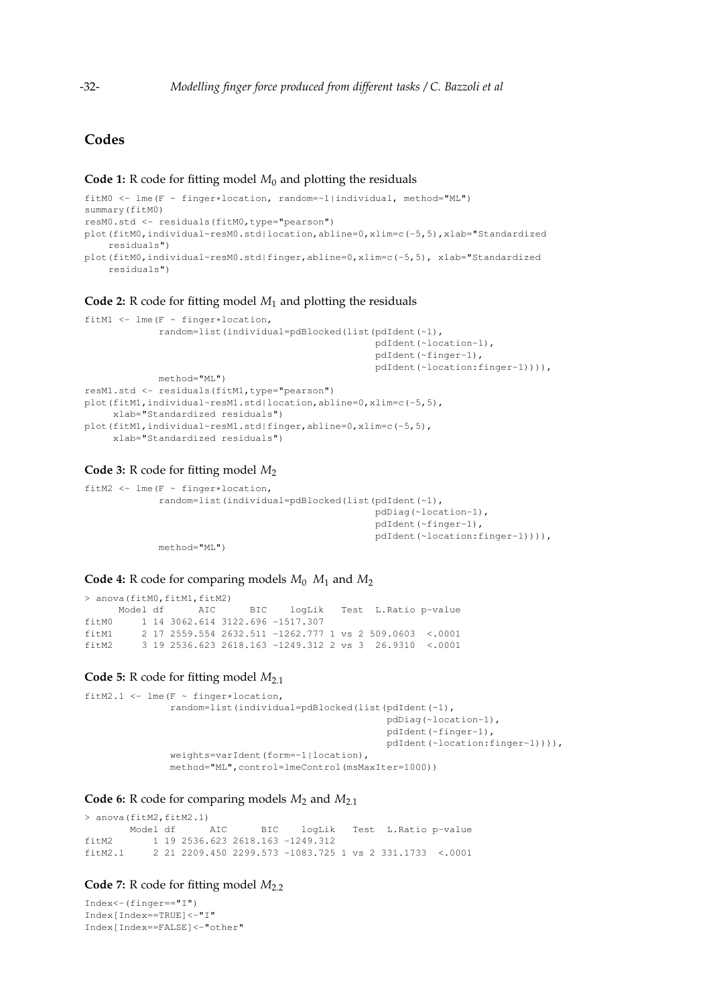# **Codes**

## <span id="page-16-0"></span>**Code 1:** R code for fitting model  $M_0$  and plotting the residuals

```
fitM0 <- lme(F ~ finger*location, random=~1|individual, method="ML")
summary(fitM0)
resM0.std <- residuals(fitM0,type="pearson")
plot(fitM0,individual~resM0.std|location,abline=0,xlim=c(-5,5),xlab="Standardized
   residuals")
plot(fitM0,individual~resM0.std|finger,abline=0,xlim=c(-5,5), xlab="Standardized
   residuals")
```
#### <span id="page-16-1"></span>**Code 2:** R code for fitting model *M*<sup>1</sup> and plotting the residuals

```
fitM1 <- lme(F \sim finger*location,
             random=list(individual=pdBlocked(list(pdIdent(~1),
                                                    pdIdent(~location-1),
                                                    pdIdent(~finger-1),
                                                    pdIdent(~location:finger-1)))),
            method="ML")
resM1.std <- residuals(fitM1,type="pearson")
plot(fitM1,individual~resM1.std|location,abline=0,xlim=c(-5,5),
     xlab="Standardized residuals")
plot(fitM1,individual~resM1.std|finger,abline=0,xlim=c(-5,5),
     xlab="Standardized residuals")
```
## <span id="page-16-2"></span>**Code 3:** R code for fitting model *M*<sup>2</sup>

```
fitM2 <- lme(F ~ finger*location,
             random=list(individual=pdBlocked(list(pdIdent(~1),
                                                    pdDiag(~location-1),
                                                    pdIdent(~finger-1),
                                                    pdIdent(~location:finger-1)))),
            method="ML")
```
#### <span id="page-16-3"></span>**Code 4:** R code for comparing models  $M_0$   $M_1$  and  $M_2$

> anova (fitM0, fitM1, fitM2) Model df AIC BIC logLik Test L.Ratio p-value fitM0 1 14 3062.614 3122.696 -1517.307 fitM1 2 17 2559.554 2632.511 -1262.777 1 vs 2 509.0603 <.0001 fitM2 3 19 2536.623 2618.163 -1249.312 2 vs 3 26.9310 <.0001

## <span id="page-16-4"></span>**Code 5:** R code for fitting model  $M_{2,1}$

```
fitM2.1 <- lme(F \sim finger*location,
               random=list(individual=pdBlocked(list(pdIdent(~1),
                                                      pdDiag(~location-1),
                                                      pdIdent(~finger-1),
                                                      pdIdent(~location:finger-1)))),
               weights=varIdent(form=~1|location),
               method="ML",control=lmeControl(msMaxIter=1000))
```
## <span id="page-16-5"></span>**Code 6:** R code for comparing models  $M_2$  and  $M_{2.1}$

> anova(fitM2,fitM2.1) Model df AIC BIC logLik Test L.Ratio p-value fitM2 1 19 2536.623 2618.163 -1249.312 fitM2.1 2 21 2209.450 2299.573 -1083.725 1 vs 2 331.1733 <.0001

# <span id="page-16-6"></span>**Code 7:** R code for fitting model  $M_{2,2}$

```
Index<-(finger=="I")
Index[Index==TRUE]<-"I"
Index[Index==FALSE]<-"other"
```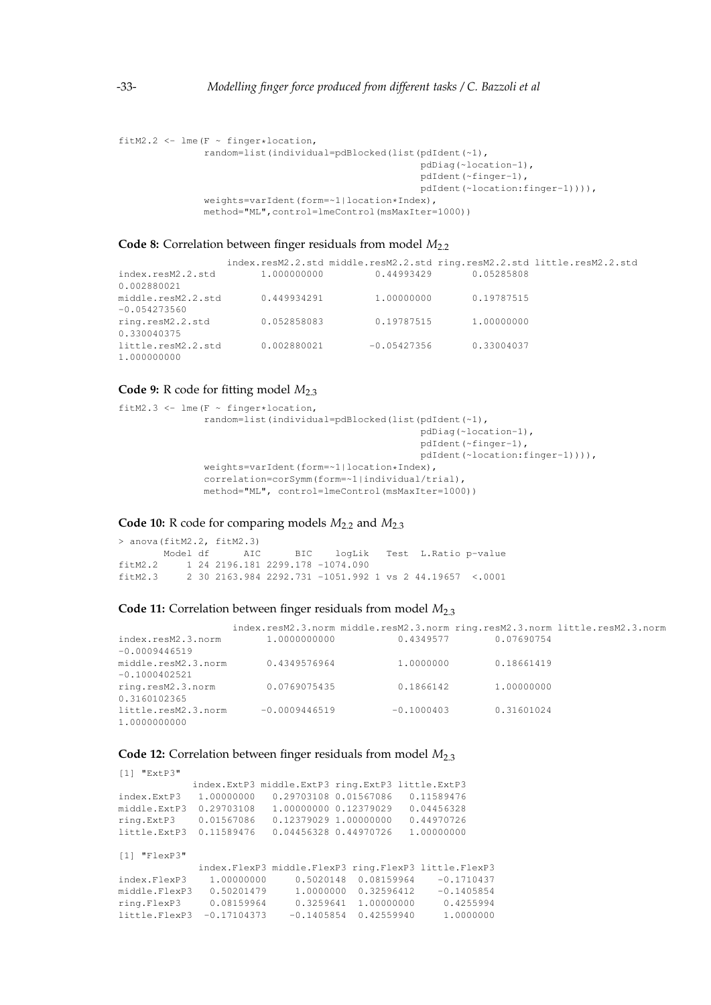```
fitM2.2 \leq lme(F \sim finger*location,
               random=list(individual=pdBlocked(list(pdIdent(~1),
                                                      pdDiag(~location-1),
                                                      pdIdent(~finger-1),
                                                      pdIdent(~location:finger-1)))),
               weights=varIdent(form=~1|location*Index),
               method="ML",control=lmeControl(msMaxIter=1000))
```
## <span id="page-17-0"></span>Code 8: Correlation between finger residuals from model  $M_{2.2}$

index.resM2.2.std middle.resM2.2.std ring.resM2.2.std little.resM2.2.std index.resM2.2.std 1.000000000 0.44993429 0.05285808 0.002880021 middle.resM2.2.std 0.449934291 1.00000000 0.19787515 -0.054273560 ring.resM2.2.std 0.052858083 0.19787515 1.00000000 0.330040375 little.resM2.2.std 0.002880021 -0.05427356 0.33004037 1.000000000

# <span id="page-17-1"></span>**Code 9:** R code for fitting model *M*2.3

```
fitM2.3 <- lme(F \sim finger*location,
               random=list(individual=pdBlocked(list(pdIdent(~1),
                                                      pdDiag(~location-1),
                                                      pdIdent(~finger-1),
                                                      pdIdent(~location:finger-1)))),
               weights=varIdent(form=~1|location*Index),
               correlation=corSymm(form=~1|individual/trial),
               method="ML", control=lmeControl(msMaxIter=1000))
```
## <span id="page-17-2"></span>**Code 10:** R code for comparing models  $M_{2,2}$  and  $M_{2,3}$

> anova(fitM2.2, fitM2.3) Model df aIC BIC logLik Test L.Ratio p-value fitM2.2 1 24 2196.181 2299.178 -1074.090 fitM2.3 2 30 2163.984 2292.731 -1051.992 1 vs 2 44.19657 <.0001

#### <span id="page-17-3"></span>**Code 11:** Correlation between finger residuals from model  $M_{2,3}$

|                     |                 | index.resM2.3.norm middle.resM2.3.norm ring.resM2.3.norm little.resM2.3.norm |            |  |
|---------------------|-----------------|------------------------------------------------------------------------------|------------|--|
| index.resM2.3.norm  | 1,0000000000    | 0.4349577                                                                    | 0.07690754 |  |
| $-0.0009446519$     |                 |                                                                              |            |  |
| middle.resM2.3.norm | 0.4349576964    | 1,0000000                                                                    | 0.18661419 |  |
| $-0.1000402521$     |                 |                                                                              |            |  |
| ring.resM2.3.norm   | 0.0769075435    | 0.1866142                                                                    | 1,00000000 |  |
| 0.3160102365        |                 |                                                                              |            |  |
| little.resM2.3.norm | $-0.0009446519$ | $-0.1000403$                                                                 | 0.31601024 |  |
| 1,0000000000        |                 |                                                                              |            |  |

## <span id="page-17-4"></span>**Code 12:** Correlation between finger residuals from model  $M_{2,3}$

| [1] "ExtP3"    |                                                  |                            |            |                           |  |
|----------------|--------------------------------------------------|----------------------------|------------|---------------------------|--|
|                | index.ExtP3 middle.ExtP3 ring.ExtP3 little.ExtP3 |                            |            |                           |  |
| index.ExtP3    | 1,00000000                                       | 0.29703108 0.01567086      |            | 0.11589476                |  |
| middle.ExtP3   | 0.29703108                                       | 1.00000000 0.12379029      |            | 0.04456328                |  |
| ring.ExtP3     | 0.01567086                                       | 0.12379029 1.00000000      |            | 0.44970726                |  |
| little.ExtP3   | 0.11589476                                       | 0.04456328 0.44970726      |            | 1.00000000                |  |
| $[1]$ "FlexP3" |                                                  |                            |            |                           |  |
|                |                                                  | index.FlexP3 middle.FlexP3 |            | ring.FlexP3 little.FlexP3 |  |
| index.FlexP3   | 1.00000000                                       | 0.5020148                  | 0.08159964 | $-0.1710437$              |  |
| middle.FlexP3  | 0.50201479                                       | 1,0000000                  | 0.32596412 | $-0.1405854$              |  |
| ring.FlexP3    | 0.08159964                                       | 0.3259641                  | 1,00000000 | 0.4255994                 |  |
| little.FlexP3  | $-0.17104373$                                    | $-0.1405854$               | 0.42559940 | 1,0000000                 |  |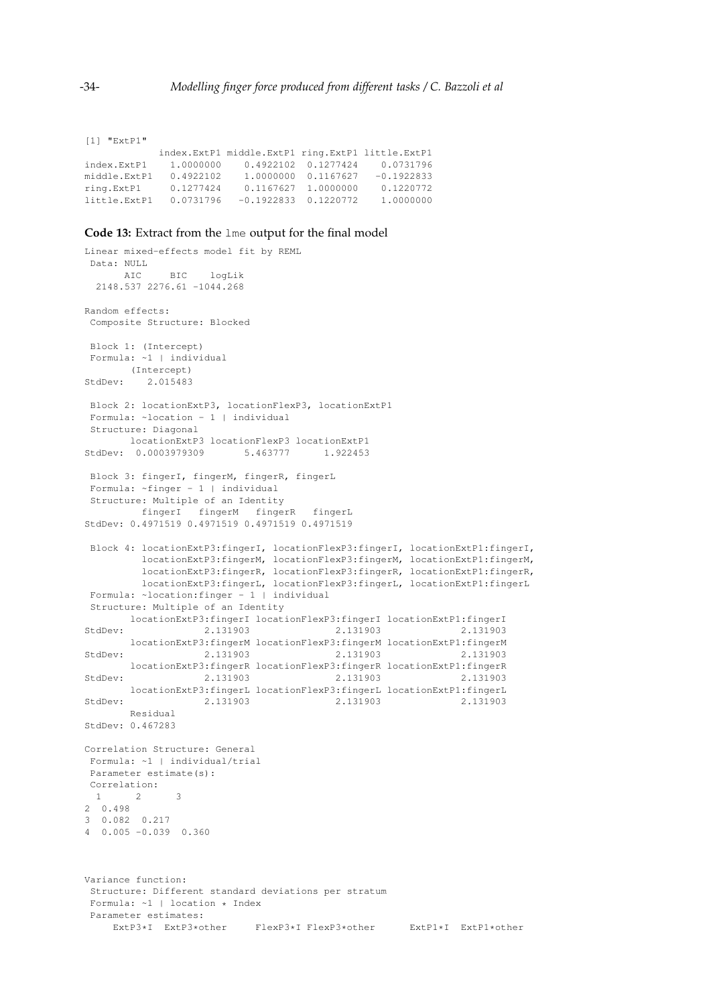```
[1] "ExtP1"
           index.ExtP1 middle.ExtP1 ring.ExtP1 little.ExtP1
index.ExtP1 1.0000000 0.4922102 0.1277424 0.0731796
middle.ExtP1 0.4922102 1.0000000 0.1167627 -0.1922833
ring.ExtP1 0.1277424 0.1167627 1.0000000 0.1220772
little.ExtP1 0.0731796 -0.1922833 0.1220772 1.0000000
```
#### <span id="page-18-0"></span>**Code 13:** Extract from the lme output for the final model

```
Linear mixed-effects model fit by REML
Data: NULL
      AIC BIC logLik
 2148.537 2276.61 -1044.268
Random effects:
Composite Structure: Blocked
Block 1: (Intercept)
Formula: ~1 | individual
      (Intercept)
StdDev: 2.015483
Block 2: locationExtP3, locationFlexP3, locationExtP1
Formula: ~location - 1 | individual
Structure: Diagonal
      locationExtP3 locationFlexP3 locationExtP1
StdDev: 0.0003979309 5.463777 1.922453
Block 3: fingerI, fingerM, fingerR, fingerL
Formula: ~finger - 1 | individual
Structure: Multiple of an Identity
        fingerI fingerM fingerR fingerL
StdDev: 0.4971519 0.4971519 0.4971519 0.4971519
Block 4: locationExtP3:fingerI, locationFlexP3:fingerI, locationExtP1:fingerI,
        locationExtP3:fingerM, locationFlexP3:fingerM, locationExtP1:fingerM,
        locationExtP3:fingerR, locationFlexP3:fingerR, locationExtP1:fingerR,
        locationExtP3:fingerL, locationFlexP3:fingerL, locationExtP1:fingerL
Formula: ~location:finger - 1 | individual
Structure: Multiple of an Identity
      locationExtP3:fingerI locationFlexP3:fingerI locationExtP1:fingerI
StdDev: 2.131903 2.131903 2.131903
      locationExtP3:fingerM locationFlexP3:fingerM locationExtP1:fingerM
StdDev: 2.131903 2.131903 2.131903
      locationExtP3:fingerR locationFlexP3:fingerR locationExtP1:fingerR
StdDev: 2.131903 2.131903 2.131903
      locationExtP3:fingerL locationFlexP3:fingerL locationExtP1:fingerL
StdDev: 2.131903 2.131903 2.131903
      Residual
StdDev: 0.467283
Correlation Structure: General
Formula: ~1 | individual/trial
Parameter estimate(s):
Correlation:
 1 2 3
2 0.498
3 0.082 0.217
4 0.005 -0.039 0.360
Variance function:
Structure: Different standard deviations per stratum
Formula: ~1 | location * Index
Parameter estimates:
    ExtP3*I ExtP3*other FlexP3*I FlexP3*other ExtP1*I ExtP1*other
```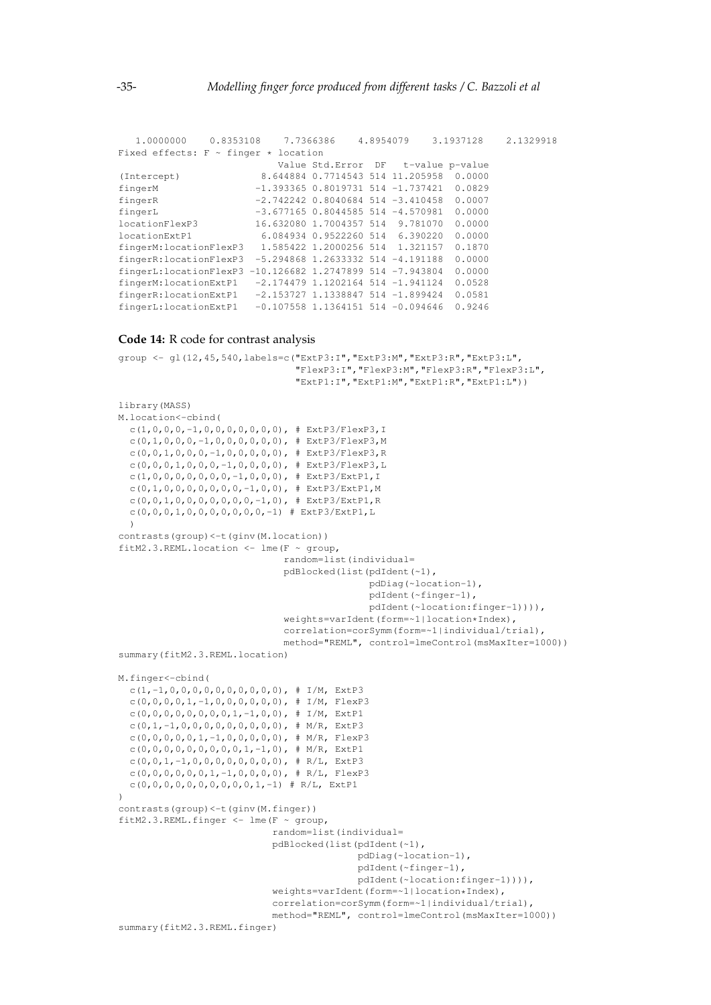```
1.0000000 0.8353108 7.7366386 4.8954079 3.1937128 2.1329918
Fixed effects: F ~ finger * location
                        Value Std.Error DF t-value p-value
(Intercept) 8.644884 0.7714543 514 11.205958 0.0000
fingerM -1.393365 0.8019731 514 -1.737421 0.0829
fingerR -2.742242 0.8040684 514 -3.410458 0.0007
fingerL -3.677165 0.8044585 514 -4.570981 0.0000
locationFlexP3 16.632080 1.7004357 514 9.781070 0.0000
locationExtP1 6.084934 0.9522260 514 6.390220 0.0000
fingerM:locationFlexP3 1.585422 1.2000256 514 1.321157 0.1870
fingerR:locationFlexP3 -5.294868 1.2633332 514 -4.191188 0.0000
fingerL:locationFlexP3 -10.126682 1.2747899 514 -7.943804 0.0000
fingerM:locationExtP1 -2.174479 1.1202164 514 -1.941124 0.0528
fingerR:locationExtP1 -2.153727 1.1338847 514 -1.899424 0.0581
fingerL:locationExtP1 -0.107558 1.1364151 514 -0.094646 0.9246
```
#### <span id="page-19-0"></span>**Code 14:** R code for contrast analysis

```
group <- gl(12,45,540,labels=c("ExtP3:I","ExtP3:M","ExtP3:R","ExtP3:L",
                                "FlexP3:I","FlexP3:M","FlexP3:R","FlexP3:L",
                                "ExtP1:I","ExtP1:M","ExtP1:R","ExtP1:L"))
library(MASS)
M.location<-cbind(
  c(1,0,0,0,-1,0,0,0,0,0,0,0), # ExtP3/FlexP3,I
  c(0,1,0,0,0,-1,0,0,0,0,0,0), # ExtP3/FlexP3,M
  c(0,0,1,0,0,0,-1,0,0,0,0,0), # ExtP3/FlexP3,R
  c(0,0,0,1,0,0,0,-1,0,0,0,0), # ExtP3/FlexP3,L
  c(1,0,0,0,0,0,0,0,-1,0,0,0), # ExtP3/ExtP1,I
  c(0,1,0,0,0,0,0,0,0,-1,0,0), # ExtP3/ExtP1,M
  c(0,0,1,0,0,0,0,0,0,0,-1,0), # ExtP3/ExtP1,R
  c(0,0,0,1,0,0,0,0,0,0,0,-1) # ExtP3/ExtP1,L
  )
contrasts(group)<-t(ginv(M.location))
fitM2.3.REML.location <- lme(F ~ group,
                             random=list(individual=
                             pdBlocked(list(pdIdent(~1),
                                             pdDiag(~location-1),
                                             pdIdent(~finger-1),
                                             pdIdent(~location:finger-1)))),
                              weights=varIdent(form=~1|location*Index),
                             correlation=corSymm(form=~1|individual/trial),
                             method="REML", control=lmeControl(msMaxIter=1000))
summary(fitM2.3.REML.location)
M.finger<-cbind(
  c(1,-1,0,0,0,0,0,0,0,0,0,0), # I/M, ExtP3
  c(0,0,0,0,1,-1,0,0,0,0,0,0), # I/M, FlexP3
  c(0,0,0,0,0,0,0,0,0,1,-1,0,0), # I/M, ExtP1
  c(0,1,-1,0,0,0,0,0,0,0,0,0), # M/R, ExtP3
  c(0,0,0,0,0,1,-1,0,0,0,0,0), # M/R, FlexP3
  c(0, 0, 0, 0, 0, 0, 0, 0, 0, 1, -1, 0), # M/R, ExtP1
  c(0,0,1,-1,0,0,0,0,0,0,0,0), # R/L, ExtP3
  c(0,0,0,0,0,0,1,-1,0,0,0,0), # R/L, FlexP3
  c(0,0,0,0,0,0,0,0,0,0,0,1,-1) # R/L, ExtP1
)
contrasts(group)<-t(ginv(M.finger))
fitM2.3.REML.finger <- lme(F ~ group,
                            random=list(individual=
                           pdBlocked(list(pdIdent(~1),
                                           pdDiag(~location-1),
                                           pdIdent(~finger-1),
                                           pdIdent(~location:finger-1)))),
                            weights=varIdent(form=~1|location*Index),
                           correlation=corSymm(form=~1|individual/trial),
                           method="REML", control=lmeControl(msMaxIter=1000))
summary(fitM2.3.REML.finger)
```